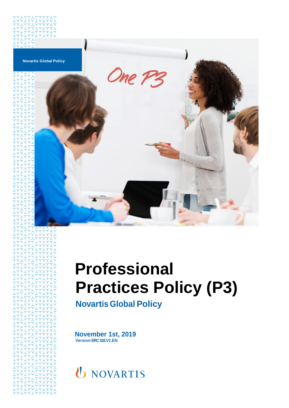

# **Professional Practices Policy (P3)**

**Novartis Global Policy**

**November 1st, 2019 Version ERC102.V2.EN**

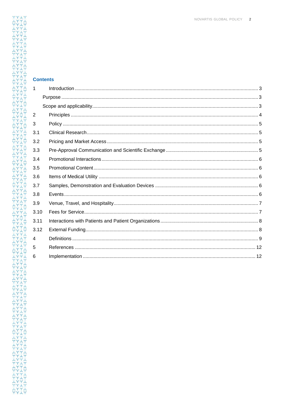| <b>Contents</b> |  |
|-----------------|--|
| 1               |  |
|                 |  |
| $\overline{2}$  |  |
| 3               |  |
| 3.1             |  |
| 3.2             |  |
| 3.3             |  |
| 3.4             |  |
| 3.5             |  |
| 3.6             |  |
| 3.7             |  |
| 3.8             |  |
| 3.9             |  |
| 3.10            |  |
| 3.11            |  |
| 3.12            |  |
| 4               |  |
| $5\overline{)}$ |  |
| 6               |  |
|                 |  |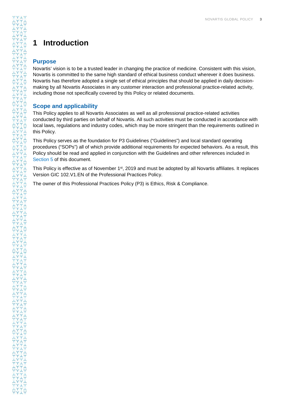### <span id="page-2-0"></span>**1 Introduction**

#### <span id="page-2-1"></span>**Purpose**

Novartis' vision is to be a trusted leader in changing the practice of medicine. Consistent with this vision, Novartis is committed to the same high standard of ethical business conduct wherever it does business. Novartis has therefore adopted a single set of ethical principles that should be applied in daily decisionmaking by all Novartis Associates in any customer interaction and professional practice-related activity, including those not specifically covered by this Policy or related documents.

#### <span id="page-2-2"></span>**Scope and applicability**

This Policy applies to all Novartis Associates as well as all professional practice-related activities conducted by third parties on behalf of Novartis. All such activities must be conducted in accordance with local laws, regulations and industry codes, which may be more stringent than the requirements outlined in this Policy.

This Policy serves as the foundation for P3 Guidelines ("Guidelines") and local standard operating procedures ("SOPs") all of which provide additional requirements for expected behaviors. As a result, this Policy should be read and applied in conjunction with the Guidelines and other references included in [Section](#page-10-0) 5 of this document.

This Policy is effective as of November 1<sup>st</sup>, 2019 and must be adopted by all Novartis affiliates. It replaces Version GIC 102.V1.EN of the Professional Practices Policy.

The owner of this Professional Practices Policy (P3) is Ethics, Risk & Compliance.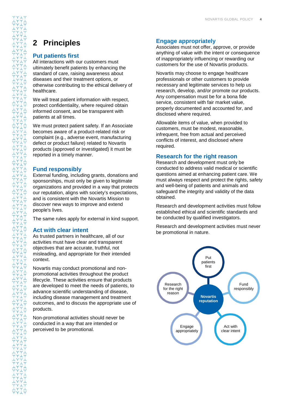### <span id="page-3-0"></span>**2 Principles**

#### **Put patients first**

All interactions with our customers must ultimately benefit patients by enhancing the standard of care, raising awareness about diseases and their treatment options, or otherwise contributing to the ethical delivery of healthcare.

We will treat patient information with respect, protect confidentiality, where required obtain informed consent, and be transparent with patients at all times.

We must protect patient safety. If an Associate becomes aware of a product-related risk or complaint (e.g., adverse event, manufacturing defect or product failure) related to Novartis products (approved or investigated) it must be reported in a timely manner.

#### **Fund responsibly**

External funding, including grants, donations and sponsorships, must only be given to legitimate organizations and provided in a way that protects our reputation, aligns with society's expectations, and is consistent with the Novartis Mission to discover new ways to improve and extend people's lives.

The same rules apply for external in kind support.

#### **Act with clear intent**

As trusted partners in healthcare, all of our activities must have clear and transparent objectives that are accurate, truthful, not misleading, and appropriate for their intended context.

Novartis may conduct promotional and nonpromotional activities throughout the product lifecycle. These activities ensure that products are developed to meet the needs of patients, to advance scientific understanding of disease, including disease management and treatment outcomes, and to discuss the appropriate use of products.

Non-promotional activities should never be conducted in a way that are intended or perceived to be promotional.

#### **Engage appropriately**

Associates must not offer, approve, or provide anything of value with the intent or consequence of inappropriately influencing or rewarding our customers for the use of Novartis products.

Novartis may choose to engage healthcare professionals or other customers to provide necessary and legitimate services to help us research, develop, and/or promote our products. Any compensation must be for a bona fide service, consistent with fair market value, properly documented and accounted for, and disclosed where required.

Allowable items of value, when provided to customers, must be modest, reasonable, infrequent, free from actual and perceived conflicts of interest, and disclosed where required.

#### **Research for the right reason**

Research and development must only be conducted to address valid medical or scientific questions aimed at enhancing patient care. We must always respect and protect the rights, safety and well-being of patients and animals and safeguard the integrity and validity of the data obtained.

Research and development activities must follow established ethical and scientific standards and be conducted by qualified investigators.

Research and development activities must never be promotional in nature.

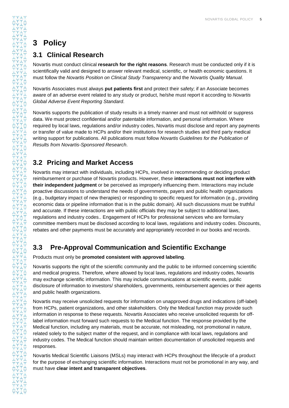## <span id="page-4-0"></span>**3 Policy**

### <span id="page-4-1"></span>**3.1 Clinical Research**

Novartis must conduct clinical **research for the right reasons**. Research must be conducted only if it is scientifically valid and designed to answer relevant medical, scientific, or health economic questions. It must follow the *Novartis Position on Clinical Study Transparency* and the *Novartis Quality Manual*.

Novartis Associates must always **put patients first** and protect their safety; if an Associate becomes aware of an adverse event related to any study or product, he/she must report it according to *Novartis Global Adverse Event Reporting Standard*.

Novartis supports the publication of study results in a timely manner and must not withhold or suppress data. We must protect confidential and/or patentable information, and personal information. Where required by local laws, regulations and/or industry codes, Novartis must disclose and report any payments or transfer of value made to HCPs and/or their institutions for research studies and third party medical writing support for publications. All publications must follow *Novartis Guidelines for the Publication of Results from Novartis-Sponsored Research*.

### <span id="page-4-2"></span>**3.2 Pricing and Market Access**

Novartis may interact with individuals, including HCPs, involved in recommending or deciding product reimbursement or purchase of Novartis products. However, these **interactions must not interfere with their independent judgment** or be perceived as improperly influencing them. Interactions may include proactive discussions to understand the needs of governments, payers and public health organizations (e.g., budgetary impact of new therapies) or responding to specific request for information (e.g., providing economic data or pipeline information that is in the public domain). All such discussions must be truthful and accurate. If these interactions are with public officials they may be subject to additional laws, regulations and industry codes.. Engagement of HCPs for professional services who are formulary committee members must be disclosed according to local laws, regulations and industry codes. Discounts, rebates and other payments must be accurately and appropriately recorded in our books and records.

### <span id="page-4-3"></span>**3.3 Pre-Approval Communication and Scientific Exchange**

Products must only be **promoted consistent with approved labeling**.

Novartis supports the right of the scientific community and the public to be informed concerning scientific and medical progress. Therefore, where allowed by local laws, regulations and industry codes, Novartis may exchange scientific information. This may include communications at scientific events, public disclosure of information to investors/ shareholders, governments, reimbursement agencies or their agents and public health organizations.

Novartis may receive unsolicited requests for information on unapproved drugs and indications (off-label) from HCPs, patient organizations, and other stakeholders. Only the Medical function may provide such information in response to these requests. Novartis Associates who receive unsolicited requests for offlabel information must forward such requests to the Medical function. The response provided by the Medical function, including any materials, must be accurate, not misleading, not promotional in nature, related solely to the subject matter of the request, and in compliance with local laws, regulations and industry codes. The Medical function should maintain written documentation of unsolicited requests and responses.

Novartis Medical Scientific Liaisons (MSLs) may interact with HCPs throughout the lifecycle of a product for the purpose of exchanging scientific information. Interactions must not be promotional in any way, and must have **clear intent and transparent objectives**.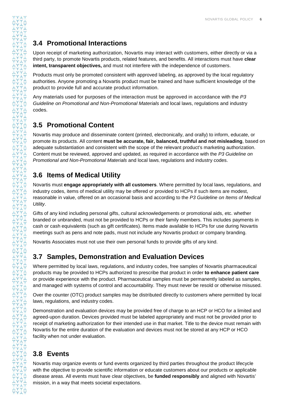### <span id="page-5-0"></span>**3.4 Promotional Interactions**

Upon receipt of marketing authorization, Novartis may interact with customers, either directly or via a third party, to promote Novartis products, related features, and benefits. All interactions must have **clear intent, transparent objectives,** and must not interfere with the independence of customers.

Products must only be promoted consistent with approved labeling, as approved by the local regulatory authorities. Anyone promoting a Novartis product must be trained and have sufficient knowledge of the product to provide full and accurate product information.

Any materials used for purposes of the interaction must be approved in accordance with the *P3 Guideline on Promotional and Non-Promotional Materials* and local laws, regulations and industry codes.

### <span id="page-5-1"></span>**3.5 Promotional Content**

Novartis may produce and disseminate content (printed, electronically, and orally) to inform, educate, or promote its products. All content **must be accurate, fair, balanced, truthful and not misleading**, based on adequate substantiation and consistent with the scope of the relevant product's marketing authorization. Content must be reviewed, approved and updated, as required in accordance with the *P3 Guideline on Promotional and Non-Promotional Materials* and local laws, regulations and industry codes.

### <span id="page-5-2"></span>**3.6 Items of Medical Utility**

Novartis must **engage appropriately with all customers**. Where permitted by local laws, regulations, and industry codes, items of medical utility may be offered or provided to HCPs if such items are modest, reasonable in value, offered on an occasional basis and according to the *P3 Guideline on Items of Medical Utility*.

Gifts of any kind including personal gifts, cultural acknowledgements or promotional aids, etc. whether branded or unbranded, must not be provided to HCPs or their family members. This includes payments in cash or cash equivalents (such as gift certificates). Items made available to HCPs for use during Novartis meetings such as pens and note pads, must not include any Novartis product or company branding.

Novartis Associates must not use their own personal funds to provide gifts of any kind.

### <span id="page-5-3"></span>**3.7 Samples, Demonstration and Evaluation Devices**

Where permitted by local laws, regulations, and industry codes, free samples of Novartis pharmaceutical products may be provided to HCPs authorized to prescribe that product in order **to enhance patient care** or provide experience with the product. Pharmaceutical samples must be permanently labeled as samples, and managed with systems of control and accountability. They must never be resold or otherwise misused.

Over the counter (OTC) product samples may be distributed directly to customers where permitted by local laws, regulations, and industry codes.

Demonstration and evaluation devices may be provided free of charge to an HCP or HCO for a limited and agreed-upon duration. Devices provided must be labeled appropriately and must not be provided prior to receipt of marketing authorization for their intended use in that market. Title to the device must remain with Novartis for the entire duration of the evaluation and devices must not be stored at any HCP or HCO facility when not under evaluation.

### <span id="page-5-4"></span>**3.8 Events**

Novartis may organize events or fund events organized by third parties throughout the product lifecycle with the objective to provide scientific information or educate customers about our products or applicable disease areas. All events must have clear objectives, be **funded responsibly** and aligned with Novartis' mission, in a way that meets societal expectations.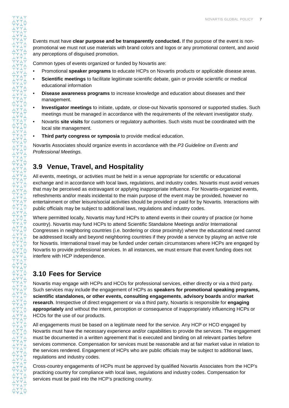Events must have **clear purpose and be transparently conducted.** If the purpose of the event is nonpromotional we must not use materials with brand colors and logos or any promotional content, and avoid any perceptions of disguised promotion.

Common types of events organized or funded by Novartis are:

- Promotional **speaker programs** to educate HCPs on Novartis products or applicable disease areas.
- **Scientific meetings** to facilitate legitimate scientific debate, gain or provide scientific or medical educational information
- **Disease awareness programs** to increase knowledge and education about diseases and their management.
- **Investigator meetings** to initiate, update, or close-out Novartis sponsored or supported studies. Such meetings must be managed in accordance with the requirements of the relevant investigator study.
- Novartis **site visits** for customers or regulatory authorities. Such visits must be coordinated with the local site management.
- **Third party congress or symposia** to provide medical education.

Novartis Associates should organize events in accordance with the *P3 Guideline on Events and Professional Meetings.*

### <span id="page-6-0"></span>**3.9 Venue, Travel, and Hospitality**

All events, meetings, or activities must be held in a venue appropriate for scientific or educational exchange and in accordance with local laws, regulations, and industry codes. Novartis must avoid venues that may be perceived as extravagant or applying inappropriate influence. For Novartis-organized events, refreshments and/or meals incidental to the main purpose of the event may be provided, however no entertainment or other leisure/social activities should be provided or paid for by Novartis. Interactions with public officials may be subject to additional laws, regulations and industry codes.

Where permitted locally, Novartis may fund HCPs to attend events in their country of practice (or home country). Novartis may fund HCPs to attend Scientific Standalone Meetings and/or International Congresses in neighboring countries (i.e. bordering or close proximity) where the educational need cannot be addressed locally and beyond neighboring countries if they provide a service by playing an active role for Novartis. International travel may be funded under certain circumstances where HCPs are engaged by Novartis to provide professional services. In all instances, we must ensure that event funding does not interfere with HCP independence.

### <span id="page-6-1"></span>**3.10 Fees for Service**

Novartis may engage with HCPs and HCOs for professional services, either directly or via a third party. Such services may include the engagement of HCPs as **speakers for promotional speaking programs, scientific standalones, or other events, consulting engagements**, **advisory boards** and/or **market research**. Irrespective of direct engagement or via a third party, Novartis is responsible for **engaging appropriately** and without the intent, perception or consequence of inappropriately influencing HCPs or HCOs for the use of our products.

All engagements must be based on a legitimate need for the service. Any HCP or HCO engaged by Novartis must have the necessary experience and/or capabilities to provide the services. The engagement must be documented in a written agreement that is executed and binding on all relevant parties before services commence. Compensation for services must be reasonable and at fair market value in relation to the services rendered. Engagement of HCPs who are public officials may be subject to additional laws, regulations and industry codes.

Cross-country engagements of HCPs must be approved by qualified Novartis Associates from the HCP's practicing country for compliance with local laws, regulations and industry codes. Compensation for services must be paid into the HCP's practicing country.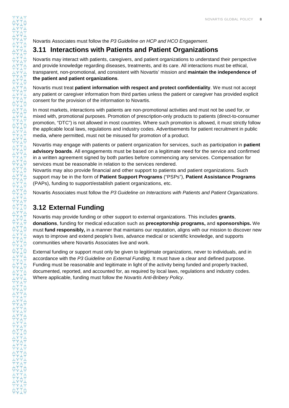Novartis Associates must follow the *P3 Guideline on HCP and HCO Engagement*.

### <span id="page-7-0"></span>**3.11 Interactions with Patients and Patient Organizations**

Novartis may interact with patients, caregivers, and patient organizations to understand their perspective and provide knowledge regarding diseases, treatments, and its care. All interactions must be ethical, transparent, non-promotional, and consistent with Novartis' mission and **maintain the independence of the patient and patient organizations**.

Novartis must treat **patient information with respect and protect confidentiality**. We must not accept any patient or caregiver information from third parties unless the patient or caregiver has provided explicit consent for the provision of the information to Novartis.

In most markets, interactions with patients are non-promotional activities and must not be used for, or mixed with, promotional purposes. Promotion of prescription-only products to patients (direct-to-consumer promotion, "DTC") is not allowed in most countries. Where such promotion is allowed, it must strictly follow the applicable local laws, regulations and industry codes. Advertisements for patient recruitment in public media, where permitted, must not be misused for promotion of a product.

Novartis may engage with patients or patient organization for services, such as participation in **patient advisory boards**. All engagements must be based on a legitimate need for the service and confirmed in a written agreement signed by both parties before commencing any services. Compensation for services must be reasonable in relation to the services rendered.

Novartis may also provide financial and other support to patients and patient organizations. Such support may be in the form of **Patient Support Programs** ("PSPs"), **Patient Assistance Programs** (PAPs), funding to support/establish patient organizations, etc.

Novartis Associates must follow the *P3 Guideline on Interactions with Patients and Patient Organizations*.

### <span id="page-7-1"></span>**3.12 External Funding**

Novartis may provide funding or other support to external organizations. This includes **grants**, **donations**, funding for medical education such as **preceptorship programs,** and **sponsorships.** We must **fund responsibly,** in a manner that maintains our reputation, aligns with our mission to discover new ways to improve and extend people's lives, advance medical or scientific knowledge, and supports communities where Novartis Associates live and work.

External funding or support must only be given to legitimate organizations, never to individuals, and in accordance with the *P3 Guideline on External Funding*. It must have a clear and defined purpose. Funding must be reasonable and legitimate in light of the activity being funded and properly tracked, documented, reported, and accounted for, as required by local laws, regulations and industry codes. Where applicable, funding must follow the *Novartis Anti-Bribery Policy*.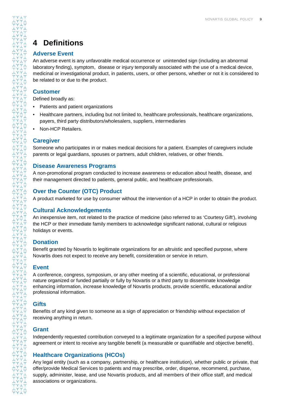### <span id="page-8-0"></span>**4 Definitions**

#### **Adverse Event**

An adverse event is any unfavorable medical occurrence or unintended sign (including an abnormal laboratory finding), symptom, disease or injury temporally associated with the use of a medical device, medicinal or investigational product, in patients, users, or other persons, whether or not it is considered to be related to or due to the product.

#### **Customer**

Defined broadly as:

- Patients and patient organizations
- Healthcare partners, including but not limited to, healthcare professionals, healthcare organizations, payers, third party distributors/wholesalers, suppliers, intermediaries
- Non-HCP Retailers.

#### **Caregiver**

Someone who participates in or makes medical decisions for a patient. Examples of caregivers include parents or legal guardians, spouses or partners, adult children, relatives, or other friends.

#### **Disease Awareness Programs**

A non-promotional program conducted to increase awareness or education about health, disease, and their management directed to patients, general public, and healthcare professionals.

#### **Over the Counter (OTC) Product**

A product marketed for use by consumer without the intervention of a HCP in order to obtain the product.

#### **Cultural Acknowledgements**

An inexpensive item, not related to the practice of medicine (also referred to as 'Courtesy Gift'), involving the HCP or their immediate family members to acknowledge significant national, cultural or religious holidays or events.

#### **Donation**

Benefit granted by Novartis to legitimate organizations for an altruistic and specified purpose, where Novartis does not expect to receive any benefit, consideration or service in return.

#### **Event**

A conference, congress, symposium, or any other meeting of a scientific, educational, or professional nature organized or funded partially or fully by Novartis or a third party to disseminate knowledge enhancing information, increase knowledge of Novartis products, provide scientific, educational and/or professional information.

#### **Gifts**

Benefits of any kind given to someone as a sign of appreciation or friendship without expectation of receiving anything in return.

#### **Grant**

Independently requested contribution conveyed to a legitimate organization for a specified purpose without agreement or intent to receive any tangible benefit (a measurable or quantifiable and objective benefit).

#### **Healthcare Organizations (HCOs)**

Any legal entity (such as a company, partnership, or healthcare institution), whether public or private, that offer/provide Medical Services to patients and may prescribe, order, dispense, recommend, purchase, supply, administer, lease, and use Novartis products, and all members of their office staff, and medical associations or organizations.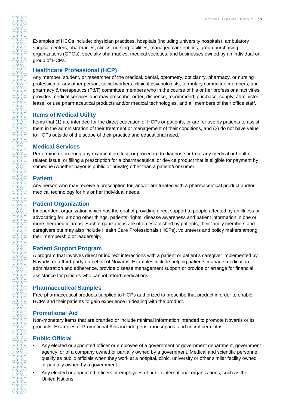Examples of HCOs include: physician practices, hospitals (including university hospitals), ambulatory surgical centers, pharmacies, clinics, nursing facilities, managed care entities, group purchasing organizations (GPOs), specialty pharmacies, medical societies, and businesses owned by an individual or group of HCPs.

#### **Healthcare Professional (HCP)**

Any member, student, or researcher of the medical, dental, optometry, opticianry, pharmacy, or nursing profession or any other person, social workers, clinical psychologists, formulary committee members, and pharmacy & therapeutics (P&T) committee members who in the course of his or her professional activities provides medical services and may prescribe, order, dispense, recommend, purchase, supply, administer, lease, or use pharmaceutical products and/or medical technologies, and all members of their office staff.

#### **Items of Medical Utility**

Items that (1) are intended for the direct education of HCPs or patients, or are for use by patients to assist them in the administration of their treatment or management of their conditions, and (2) do not have value to HCPs outside of the scope of their practice and educational need.

#### **Medical Services**

Performing or ordering any examination, test, or procedure to diagnose or treat any medical or healthrelated issue, or filling a prescription for a pharmaceutical or device product that is eligible for payment by someone (whether payor is public or private) other than a patient/consumer.

#### **Patient**

Any person who may receive a prescription for, and/or are treated with a pharmaceutical product and/or medical technology for his or her individual needs.

#### **Patient Organization**

Independent organization which has the goal of providing direct support to people affected by an illness or advocating for, among other things, patients' rights, disease awareness and patient information in one or more therapeutic areas. Such organizations are often established by patients, their family members and caregivers but may also include Health Care Professionals (HCPs), volunteers and policy makers among their membership or leadership.

#### **Patient Support Program**

A program that involves direct or indirect interactions with a patient or patient's caregiver implemented by Novartis or a third-party on behalf of Novartis. Examples include helping patients manage medication administration and adherence, provide disease management support or provide or arrange for financial assistance for patients who cannot afford medications.

#### **Pharmaceutical Samples**

Free pharmaceutical products supplied to HCPs authorized to prescribe that product in order to enable HCPs and their patients to gain experience in dealing with the product.

#### **Promotional Aid**

Non-monetary items that are branded or include minimal information intended to promote Novartis or its products. Examples of Promotional Aids include pens, mousepads, and microfiber cloths.

#### **Public Official**

- Any elected or appointed officer or employee of a government or government department, government agency, or of a company owned or partially owned by a government. Medical and scientific personnel qualify as public officials when they work at a hospital, clinic, university or other similar facility owned or partially owned by a government.
- Any elected or appointed officers or employees of public international organizations, such as the United Nations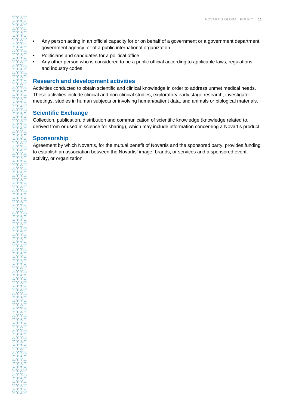- Any person acting in an official capacity for or on behalf of a government or a government department, government agency, or of a public international organization
- Politicians and candidates for a political office
- Any other person who is considered to be a public official according to applicable laws, regulations and industry codes

#### **Research and development activities**

Activities conducted to obtain scientific and clinical knowledge in order to address unmet medical needs. These activities include clinical and non-clinical studies, exploratory early stage research, investigator meetings, studies in human subjects or involving human/patient data, and animals or biological materials.

#### **Scientific Exchange**

Collection, publication, distribution and communication of scientific knowledge (knowledge related to, derived from or used in science for sharing), which may include information concerning a Novartis product.

#### **Sponsorship**

<span id="page-10-0"></span>Agreement by which Novartis, for the mutual benefit of Novartis and the sponsored party, provides funding to establish an association between the Novartis' image, brands, or services and a sponsored event, activity, or organization.